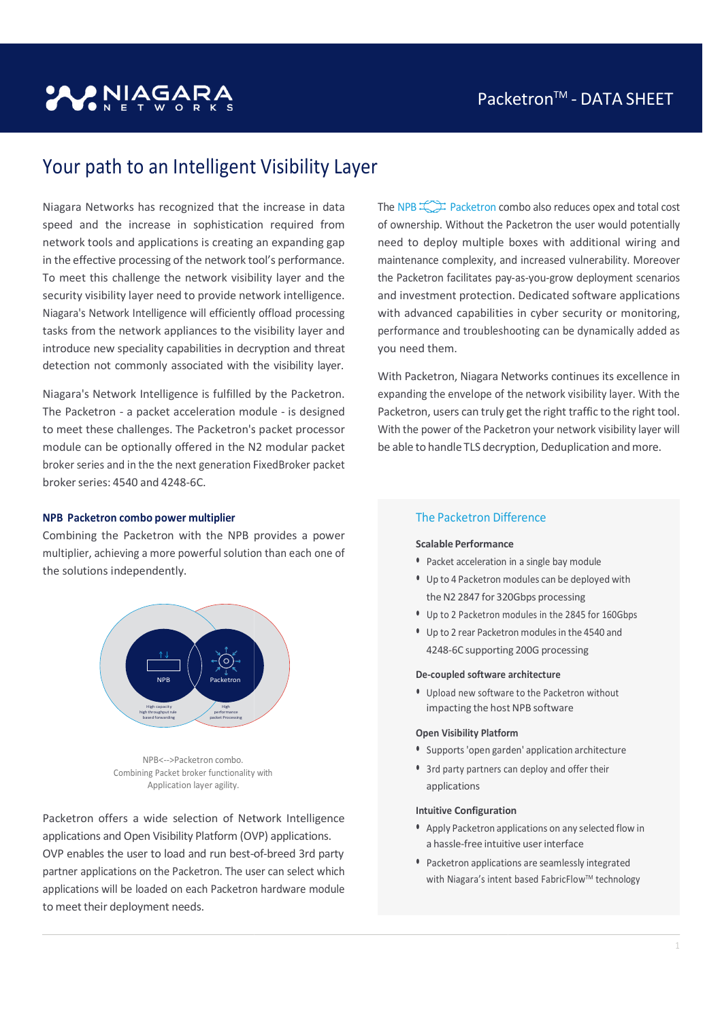# **PNIAGAR**

# Your path to an Intelligent Visibility Layer

Niagara Networks has recognized that the increase in data speed and the increase in sophistication required from network tools and applications is creating an expanding gap in the effective processing of the network tool's performance. To meet this challenge the network visibility layer and the To meet this challenge the network visibility layer and the<br>security visibility layer need to provide network intelligence. Niagara's Network Intelligence will efficiently offload processing tasks from the network appliances to the visibility layer and introduce new speciality capabilities in decryption and threat detection not commonly associated with the visibility layer.

Niagara's Network Intelligence is fulfilled by the Packetron. The Packetron - a packet acceleration module - is designed to meet these challenges. The Packetron's packet processor module can be optionally offered in the N2 modular packet broker series and in the the next generation FixedBroker FixedBroker packet broker series: 4540 and 4248-6C.

# The  $NPB$   $\rightarrow$  Packetron combo also reduces opex and total cost of ownership. Without the Packetron the user would potentially of ownership. Without the Packetron the user would potentially<br>need to deploy multiple boxes with additional wiring and maintenance complexity, and increased vulnerability. Moreover maintenance complexity, and increased vulnerability. Moreover<br>the Packetron facilitates pay-as-you-grow deployment scenarios and investment protection. Dedicated software applications with advanced capabilities in cyber security or monitoring, performance and troubleshooting can be dynamically added as you need them.

With Packetron, Niagara Networks continues its excellence in expanding the envelope of the network visibility layer. With the Packetron, users can truly get the right traffic to the right tool. With the power of the Packetron your network visibility layer will be able to handle TLS decryption, Deduplication and more.

## NPB Packetron combo power multiplier

Combining the Packetron with the NPB provides a power multiplier, achieving a more powerful solution than each one of the solutions independently.



NPB<-->Packetron combo. Combining Packet broker functionality Application layer agility.

Packetron offers a wide selection of Network Intelligence applications and Open Visibility Platform (OVP) applications. Packetron offers a wide selection of Network Intelligence<br>applications and Open Visibility Platform (OVP) applications.<br>OVP enables the user to load and run best-of-breed 3rd party partner applications on the Packetron. The user can select which  $\Box$ applications will be loaded on each Packetron Packetron hardware module to meet their deployment needs.

# The Packetron Difference

#### Scalable Performance Performance

- Packet acceleration in a single baymodule
- Up to 4 Packetron modules can be deployed with the N2 2847 for 320Gbps processing
- Up to 2 Packetron modules in the 2845 for 160Gbps
- Up to 2 rear Packetron Packetron modules in the 4540 and 4248-6C supporting supporting 200G processing

#### De-coupled software architecture

• Upload new software to the Packetron without impacting the host NPB software and the most new state of the software  $\sim$ 

#### Open Visibility Platform

- Supports 'open garden' garden' application architecture
- with  **3rd party partners can deploy and offer their** with applications

#### Intuitive Configuration Configuration

- **Apply Packetron applications on any selected flow in** a hassle-free intuitive user interface
- Packetron applications applications are seamlessly integrated with Niagara's intent based FabricFlow™ technology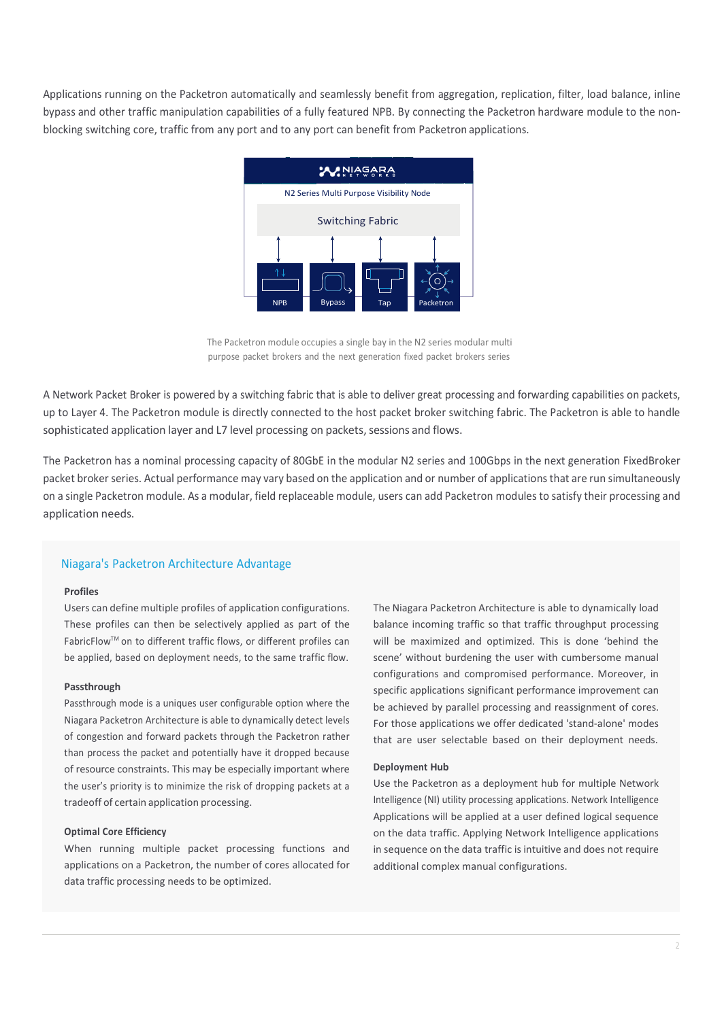Applications running on the Packetron automatically and seamlessly benefit from aggregation, replication, filter, load balance, inline bypass and other traffic manipulation capabilities of a fully featured NPB. By connecting the Packetron hardware module to the nonblocking switching core, traffic from any port and to any port can benefit from Packetron applications.



The Packetron module occupies a single bay in the N2 series modular multi purpose packet brokers and the next generation fixed packet brokers series

A Network Packet Broker is powered by a switching fabric that is able to deliver great processing and forwarding capabilities on packets, up to Layer 4. The Packetron module is directly connected to the host packet broker switching fabric. The Packetron is able to handle sophisticated application layer and L7 level processing on packets, sessions and flows.

The Packetron has a nominal processing capacity of 80GbE in the modular N2 series and 100Gbps in the next generation FixedBroker packet broker series. Actual performance may vary based on the application and or number of applications that are run simultaneously on a single Packetron module. As a modular, field replaceable module, users can add Packetron modules to satisfy their processing and application needs.

# Niagara's Packetron Architecture Advantage

#### Profiles

Users can define multiple profiles of application configurations. These profiles can then be selectively applied as part of the FabricFlow™ on to different traffic flows, or different profiles can be applied, based on deployment needs, to the same traffic flow.

#### Passthrough

Passthrough mode is a uniques user configurable option where the Niagara Packetron Architecture is able to dynamically detect levels of congestion and forward packets through the Packetron rather than process the packet and potentially have it dropped because of resource constraints. This may be especially important where the user's priority is to minimize the risk of dropping packets at a tradeoff of certain application processing.

#### Optimal Core Efficiency

When running multiple packet processing functions and applications on a Packetron, the number of cores allocated for data traffic processing needs to be optimized.

The Niagara Packetron Architecture is able to dynamically load balance incoming traffic so that traffic throughput processing will be maximized and optimized. This is done 'behind the scene' without burdening the user with cumbersome manual configurations and compromised performance. Moreover, in specific applications significant performance improvement can be achieved by parallel processing and reassignment of cores. For those applications we offer dedicated 'stand-alone' modes that are user selectable based on their deployment needs.

#### Deployment Hub

Use the Packetron as a deployment hub for multiple Network Intelligence (NI) utility processing applications. Network Intelligence Applications will be applied at a user defined logical sequence on the data traffic. Applying Network Intelligence applications in sequence on the data traffic is intuitive and does not require additional complex manual configurations.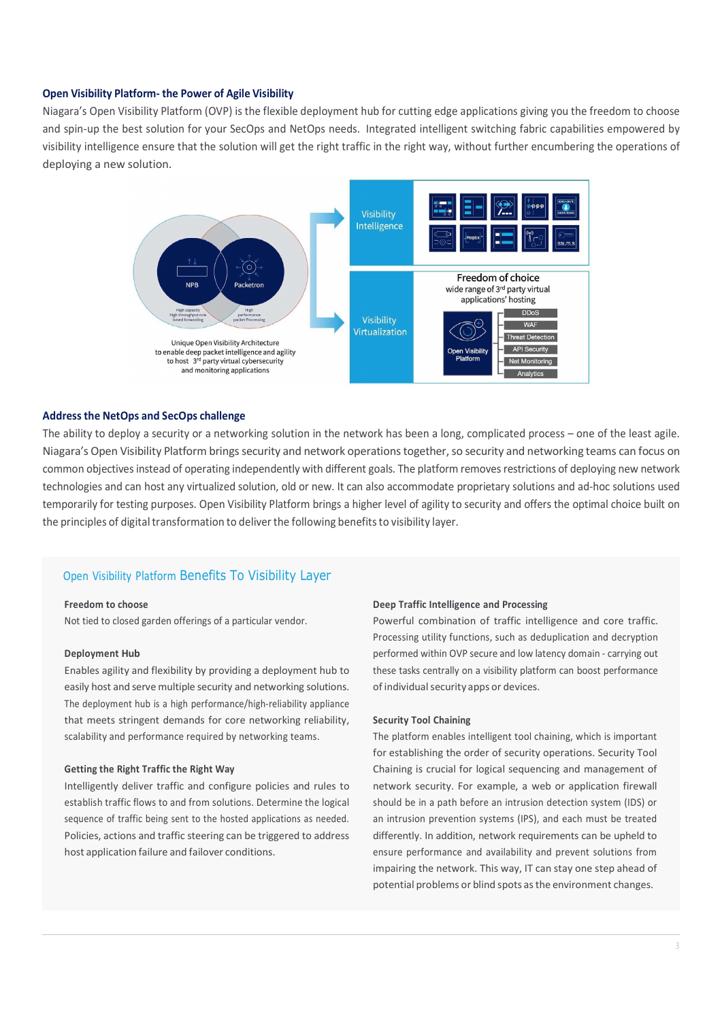#### Open Visibility Platform- the Power of Agile Visibility

Niagara's Open Visibility Platform (OVP) is the flexible deployment hub for cutting edge applications giving you the freedom to choose and spin-up the best solution for your SecOps and NetOps needs. Integrated intelligent switching fabric capabilities empowered by visibility intelligence ensure that the solution will get the right traffic in the right way, without further encumbering the operations of deploying a new solution.



#### Address the NetOps and SecOps challenge

The ability to deploy a security or a networking solution in the network has been a long, complicated process – one of the least agile. Niagara's Open Visibility Platform brings security and network operations together, so security and networking teams can focus on common objectives instead of operating independently with different goals. The platform removes restrictions of deploying new network technologies and can host any virtualized solution, old or new. It can also accommodate proprietary solutions and ad-hoc solutions used temporarily for testing purposes. Open Visibility Platform brings a higher level of agility to security and offers the optimal choice built on the principles of digital transformation to deliver the following benefits to visibility layer.

# Open Visibility Platform Benefits To Visibility Layer

#### Freedom to choose

Not tied to closed garden offerings of a particular vendor.

#### Deployment Hub

Enables agility and flexibility by providing a deployment hub to easily host and serve multiple security and networking solutions. The deployment hub is a high performance/high-reliability appliance that meets stringent demands for core networking reliability, scalability and performance required by networking teams.

#### Getting the Right Traffic the Right Way

Intelligently deliver traffic and configure policies and rules to establish traffic flows to and from solutions. Determine the logical sequence of traffic being sent to the hosted applications as needed. Policies, actions and traffic steering can be triggered to address host application failure and failover conditions.

#### Deep Traffic Intelligence and Processing

Powerful combination of traffic intelligence and core traffic. Processing utility functions, such as deduplication and decryption performed within OVP secure and low latency domain - carrying out these tasks centrally on a visibility platform can boost performance of individual security apps or devices.

#### Security Tool Chaining

The platform enables intelligent tool chaining, which is important for establishing the order of security operations. Security Tool Chaining is crucial for logical sequencing and management of network security. For example, a web or application firewall should be in a path before an intrusion detection system (IDS) or an intrusion prevention systems (IPS), and each must be treated differently. In addition, network requirements can be upheld to ensure performance and availability and prevent solutions from impairing the network. This way, IT can stay one step ahead of potential problems or blind spots as the environment changes.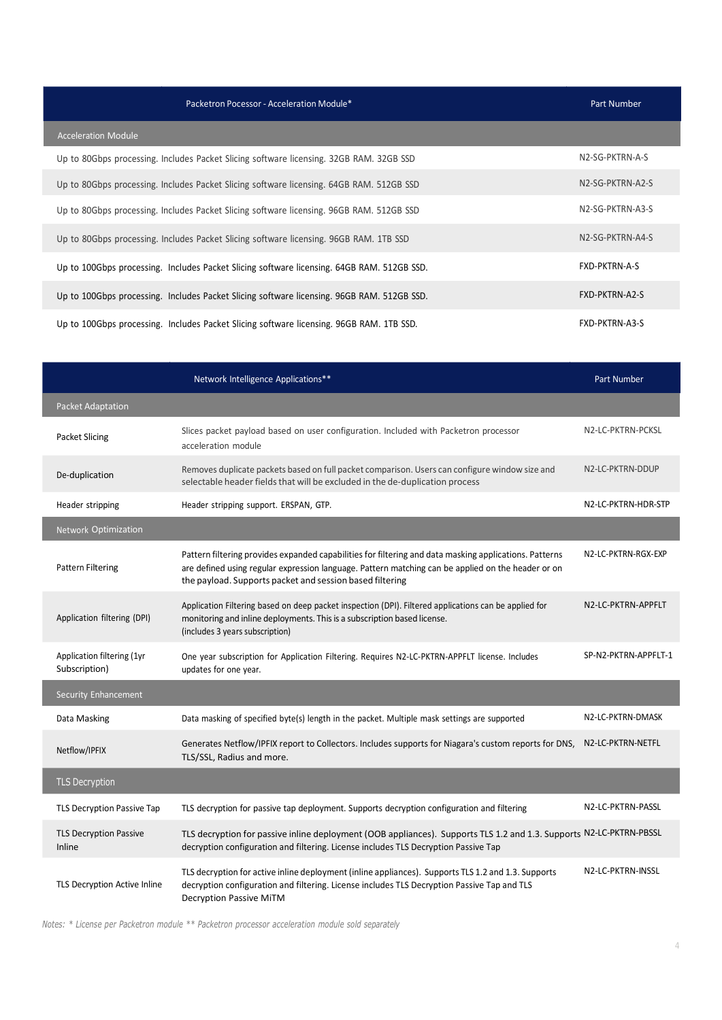| Packetron Pocessor - Acceleration Module*                                                  | Part Number          |
|--------------------------------------------------------------------------------------------|----------------------|
| <b>Acceleration Module</b>                                                                 |                      |
| Up to 80Gbps processing. Includes Packet Slicing software licensing. 32GB RAM. 32GB SSD    | N2-SG-PKTRN-A-S      |
| Up to 80Gbps processing. Includes Packet Slicing software licensing. 64GB RAM. 512GB SSD   | N2-SG-PKTRN-A2-S     |
| Up to 80Gbps processing. Includes Packet Slicing software licensing. 96GB RAM. 512GB SSD   | N2-SG-PKTRN-A3-S     |
| Up to 80Gbps processing. Includes Packet Slicing software licensing. 96GB RAM. 1TB SSD     | N2-SG-PKTRN-A4-S     |
| Up to 100Gbps processing. Includes Packet Slicing software licensing. 64GB RAM. 512GB SSD. | <b>FXD-PKTRN-A-S</b> |
| Up to 100Gbps processing. Includes Packet Slicing software licensing. 96GB RAM. 512GB SSD. | FXD-PKTRN-A2-S       |
| Up to 100Gbps processing. Includes Packet Slicing software licensing. 96GB RAM. 1TB SSD.   | FXD-PKTRN-A3-S       |

|                                             | Network Intelligence Applications**                                                                                                                                                                                                                                      | <b>Part Number</b>   |
|---------------------------------------------|--------------------------------------------------------------------------------------------------------------------------------------------------------------------------------------------------------------------------------------------------------------------------|----------------------|
| <b>Packet Adaptation</b>                    |                                                                                                                                                                                                                                                                          |                      |
| <b>Packet Slicing</b>                       | Slices packet payload based on user configuration. Included with Packetron processor<br>acceleration module                                                                                                                                                              | N2-LC-PKTRN-PCKSL    |
| De-duplication                              | Removes duplicate packets based on full packet comparison. Users can configure window size and<br>selectable header fields that will be excluded in the de-duplication process                                                                                           | N2-LC-PKTRN-DDUP     |
| Header stripping                            | Header stripping support. ERSPAN, GTP.                                                                                                                                                                                                                                   | N2-LC-PKTRN-HDR-STP  |
| Network Optimization                        |                                                                                                                                                                                                                                                                          |                      |
| <b>Pattern Filtering</b>                    | Pattern filtering provides expanded capabilities for filtering and data masking applications. Patterns<br>are defined using regular expression language. Pattern matching can be applied on the header or on<br>the payload. Supports packet and session based filtering | N2-LC-PKTRN-RGX-EXP  |
| Application filtering (DPI)                 | Application Filtering based on deep packet inspection (DPI). Filtered applications can be applied for<br>monitoring and inline deployments. This is a subscription based license.<br>(includes 3 years subscription)                                                     | N2-LC-PKTRN-APPFLT   |
| Application filtering (1yr<br>Subscription) | One year subscription for Application Filtering. Requires N2-LC-PKTRN-APPFLT license. Includes<br>updates for one year.                                                                                                                                                  | SP-N2-PKTRN-APPFLT-1 |
| <b>Security Enhancement</b>                 |                                                                                                                                                                                                                                                                          |                      |
| Data Masking                                | Data masking of specified byte(s) length in the packet. Multiple mask settings are supported                                                                                                                                                                             | N2-LC-PKTRN-DMASK    |
| Netflow/IPFIX                               | Generates Netflow/IPFIX report to Collectors. Includes supports for Niagara's custom reports for DNS,<br>TLS/SSL, Radius and more.                                                                                                                                       | N2-LC-PKTRN-NETFL    |
| TLS Decryption                              |                                                                                                                                                                                                                                                                          |                      |
| TLS Decryption Passive Tap                  | TLS decryption for passive tap deployment. Supports decryption configuration and filtering                                                                                                                                                                               | N2-LC-PKTRN-PASSL    |
| <b>TLS Decryption Passive</b><br>Inline     | TLS decryption for passive inline deployment (OOB appliances). Supports TLS 1.2 and 1.3. Supports N2-LC-PKTRN-PBSSL<br>decryption configuration and filtering. License includes TLS Decryption Passive Tap                                                               |                      |
| TLS Decryption Active Inline                | TLS decryption for active inline deployment (inline appliances). Supports TLS 1.2 and 1.3. Supports<br>decryption configuration and filtering. License includes TLS Decryption Passive Tap and TLS<br>Decryption Passive MiTM                                            | N2-LC-PKTRN-INSSL    |

Notes: \* License per Packetron module \*\* Packetron processor acceleration module sold separately